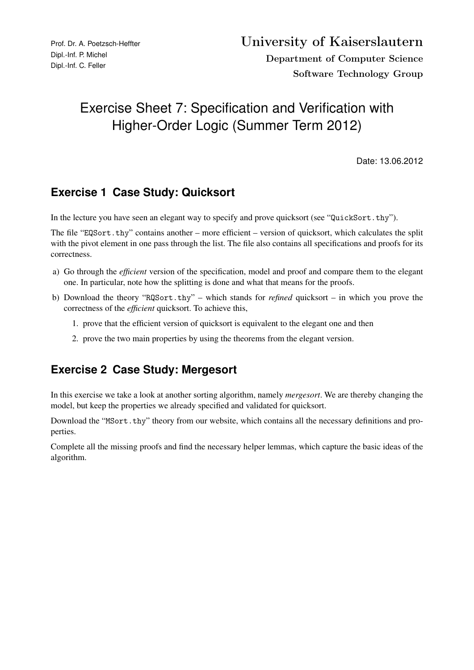# Exercise Sheet 7: Specification and Verification with Higher-Order Logic (Summer Term 2012)

Date: 13.06.2012

# **Exercise 1 Case Study: Quicksort**

In the lecture you have seen an elegant way to specify and prove quicksort (see "QuickSort.thy").

The file "EQSort.thy" contains another – more efficient – version of quicksort, which calculates the split with the pivot element in one pass through the list. The file also contains all specifications and proofs for its correctness.

- a) Go through the *efficient* version of the specification, model and proof and compare them to the elegant one. In particular, note how the splitting is done and what that means for the proofs.
- b) Download the theory "RQSort.thy" which stands for *refined* quicksort in which you prove the correctness of the *efficient* quicksort. To achieve this,
	- 1. prove that the efficient version of quicksort is equivalent to the elegant one and then
	- 2. prove the two main properties by using the theorems from the elegant version.

### **Exercise 2 Case Study: Mergesort**

In this exercise we take a look at another sorting algorithm, namely *mergesort*. We are thereby changing the model, but keep the properties we already specified and validated for quicksort.

Download the "MSort.thy" theory from our website, which contains all the necessary definitions and properties.

Complete all the missing proofs and find the necessary helper lemmas, which capture the basic ideas of the algorithm.